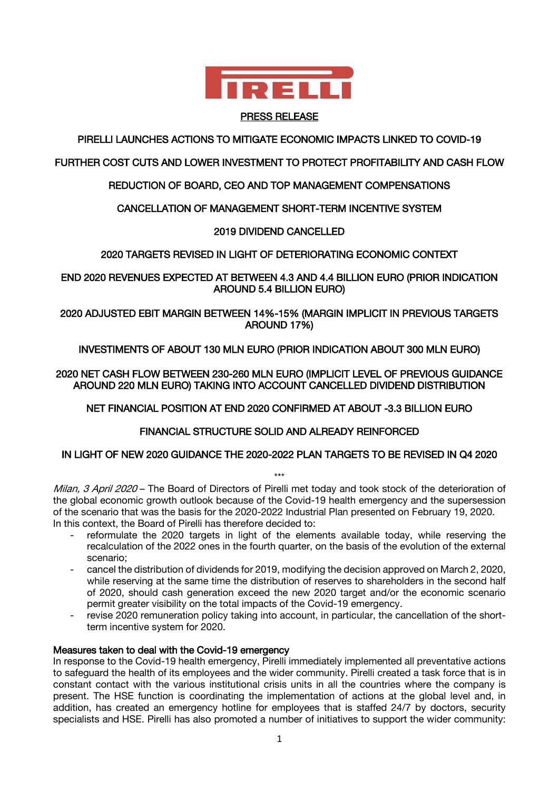

#### PRESS RELEASE

# PIRELLI LAUNCHES ACTIONS TO MITIGATE ECONOMIC IMPACTS LINKED TO COVID-19

## FURTHER COST CUTS AND LOWER INVESTMENT TO PROTECT PROFITABILITY AND CASH FLOW

# REDUCTION OF BOARD, CEO AND TOP MANAGEMENT COMPENSATIONS

## CANCELLATION OF MANAGEMENT SHORT-TERM INCENTIVE SYSTEM

## 2019 DIVIDEND CANCELLED

## 2020 TARGETS REVISED IN LIGHT OF DETERIORATING ECONOMIC CONTEXT

END 2020 REVENUES EXPECTED AT BETWEEN 4.3 AND 4.4 BILLION EURO (PRIOR INDICATION AROUND 5.4 BILLION EURO)

## 2020 ADJUSTED EBIT MARGIN BETWEEN 14%-15% (MARGIN IMPLICIT IN PREVIOUS TARGETS AROUND 17%)

## INVESTIMENTS OF ABOUT 130 MLN EURO (PRIOR INDICATION ABOUT 300 MLN EURO)

2020 NET CASH FLOW BETWEEN 230-260 MLN EURO (IMPLICIT LEVEL OF PREVIOUS GUIDANCE AROUND 220 MLN EURO) TAKING INTO ACCOUNT CANCELLED DIVIDEND DISTRIBUTION

NET FINANCIAL POSITION AT END 2020 CONFIRMED AT ABOUT -3.3 BILLION EURO

## FINANCIAL STRUCTURE SOLID AND ALREADY REINFORCED

## IN LIGHT OF NEW 2020 GUIDANCE THE 2020-2022 PLAN TARGETS TO BE REVISED IN Q4 2020

\*\*\* Milan, 3 April 2020 – The Board of Directors of Pirelli met today and took stock of the deterioration of the global economic growth outlook because of the Covid-19 health emergency and the supersession of the scenario that was the basis for the 2020-2022 Industrial Plan presented on February 19, 2020. In this context, the Board of Pirelli has therefore decided to:

- reformulate the 2020 targets in light of the elements available today, while reserving the recalculation of the 2022 ones in the fourth quarter, on the basis of the evolution of the external scenario;
- cancel the distribution of dividends for 2019, modifying the decision approved on March 2, 2020, while reserving at the same time the distribution of reserves to shareholders in the second half of 2020, should cash generation exceed the new 2020 target and/or the economic scenario permit greater visibility on the total impacts of the Covid-19 emergency.
- revise 2020 remuneration policy taking into account, in particular, the cancellation of the shortterm incentive system for 2020.

## Measures taken to deal with the Covid-19 emergency

In response to the Covid-19 health emergency, Pirelli immediately implemented all preventative actions to safeguard the health of its employees and the wider community. Pirelli created a task force that is in constant contact with the various institutional crisis units in all the countries where the company is present. The HSE function is coordinating the implementation of actions at the global level and, in addition, has created an emergency hotline for employees that is staffed 24/7 by doctors, security specialists and HSE. Pirelli has also promoted a number of initiatives to support the wider community: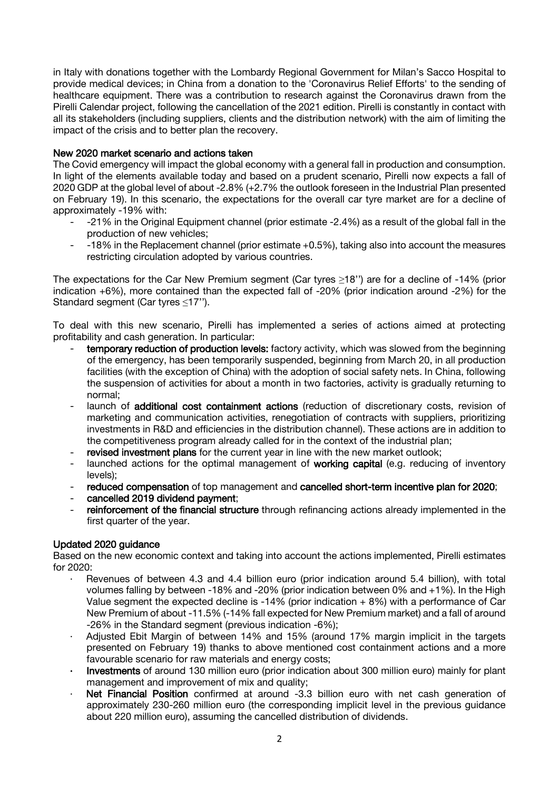in Italy with donations together with the Lombardy Regional Government for Milan's Sacco Hospital to provide medical devices; in China from a donation to the 'Coronavirus Relief Efforts' to the sending of healthcare equipment. There was a contribution to research against the Coronavirus drawn from the Pirelli Calendar project, following the cancellation of the 2021 edition. Pirelli is constantly in contact with all its stakeholders (including suppliers, clients and the distribution network) with the aim of limiting the impact of the crisis and to better plan the recovery.

## New 2020 market scenario and actions taken

The Covid emergency will impact the global economy with a general fall in production and consumption. In light of the elements available today and based on a prudent scenario, Pirelli now expects a fall of 2020 GDP at the global level of about -2.8% (+2.7% the outlook foreseen in the Industrial Plan presented on February 19). In this scenario, the expectations for the overall car tyre market are for a decline of approximately -19% with:

- -21% in the Original Equipment channel (prior estimate -2.4%) as a result of the global fall in the production of new vehicles;
- -18% in the Replacement channel (prior estimate +0.5%), taking also into account the measures restricting circulation adopted by various countries.

The expectations for the Car New Premium segment (Car tyres ≥18'') are for a decline of -14% (prior indication +6%), more contained than the expected fall of -20% (prior indication around -2%) for the Standard segment (Car tyres ≤17'').

To deal with this new scenario, Pirelli has implemented a series of actions aimed at protecting profitability and cash generation. In particular:

- temporary reduction of production levels: factory activity, which was slowed from the beginning of the emergency, has been temporarily suspended, beginning from March 20, in all production facilities (with the exception of China) with the adoption of social safety nets. In China, following the suspension of activities for about a month in two factories, activity is gradually returning to normal;
- launch of additional cost containment actions (reduction of discretionary costs, revision of marketing and communication activities, renegotiation of contracts with suppliers, prioritizing investments in R&D and efficiencies in the distribution channel). These actions are in addition to the competitiveness program already called for in the context of the industrial plan;
- revised investment plans for the current year in line with the new market outlook;
- launched actions for the optimal management of working capital (e.g. reducing of inventory levels);
- reduced compensation of top management and cancelled short-term incentive plan for 2020;
- cancelled 2019 dividend payment;
- reinforcement of the financial structure through refinancing actions already implemented in the first quarter of the year.

## Updated 2020 guidance

Based on the new economic context and taking into account the actions implemented, Pirelli estimates for 2020:

- Revenues of between 4.3 and 4.4 billion euro (prior indication around 5.4 billion), with total volumes falling by between -18% and -20% (prior indication between 0% and +1%). In the High Value segment the expected decline is -14% (prior indication + 8%) with a performance of Car New Premium of about -11.5% (-14% fall expected for New Premium market) and a fall of around -26% in the Standard segment (previous indication -6%);
- Adjusted Ebit Margin of between 14% and 15% (around 17% margin implicit in the targets presented on February 19) thanks to above mentioned cost containment actions and a more favourable scenario for raw materials and energy costs;
- Investments of around 130 million euro (prior indication about 300 million euro) mainly for plant management and improvement of mix and quality;
- Net Financial Position confirmed at around -3.3 billion euro with net cash generation of approximately 230-260 million euro (the corresponding implicit level in the previous guidance about 220 million euro), assuming the cancelled distribution of dividends.